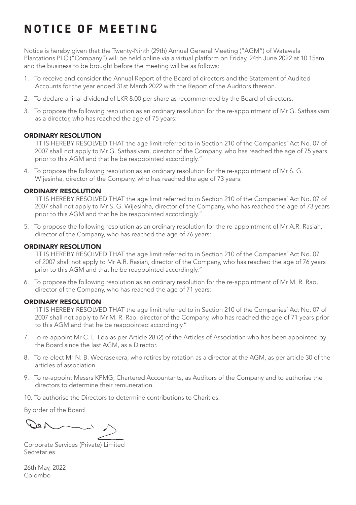# **NOTICE OF MEETING**

Notice is hereby given that the Twenty-Ninth (29th) Annual General Meeting ("AGM") of Watawala Plantations PLC ("Company") will be held online via a virtual platform on Friday, 24th June 2022 at 10.15am and the business to be brought before the meeting will be as follows:

- 1. To receive and consider the Annual Report of the Board of directors and the Statement of Audited Accounts for the year ended 31st March 2022 with the Report of the Auditors thereon.
- 2. To declare a final dividend of LKR 8.00 per share as recommended by the Board of directors.
- 3. To propose the following resolution as an ordinary resolution for the re-appointment of Mr G. Sathasivam as a director, who has reached the age of 75 years:

#### ORDINARY RESOLUTION

''IT IS HEREBY RESOLVED THAT the age limit referred to in Section 210 of the Companies' Act No. 07 of 2007 shall not apply to Mr G. Sathasivam, director of the Company, who has reached the age of 75 years prior to this AGM and that he be reappointed accordingly."

4. To propose the following resolution as an ordinary resolution for the re-appointment of Mr S. G. Wijesinha, director of the Company, who has reached the age of 73 years:

## ORDINARY RESOLUTION

''IT IS HEREBY RESOLVED THAT the age limit referred to in Section 210 of the Companies' Act No. 07 of 2007 shall not apply to Mr S. G. Wijesinha, director of the Company, who has reached the age of 73 years prior to this AGM and that he be reappointed accordingly."

5. To propose the following resolution as an ordinary resolution for the re-appointment of Mr A.R. Rasiah, director of the Company, who has reached the age of 76 years:

#### ORDINARY RESOLUTION

''IT IS HEREBY RESOLVED THAT the age limit referred to in Section 210 of the Companies' Act No. 07 of 2007 shall not apply to Mr A.R. Rasiah, director of the Company, who has reached the age of 76 years prior to this AGM and that he be reappointed accordingly."

6. To propose the following resolution as an ordinary resolution for the re-appointment of Mr M. R. Rao, director of the Company, who has reached the age of 71 years:

### ORDINARY RESOLUTION

''IT IS HEREBY RESOLVED THAT the age limit referred to in Section 210 of the Companies' Act No. 07 of 2007 shall not apply to Mr M. R. Rao, director of the Company, who has reached the age of 71 years prior to this AGM and that he be reappointed accordingly.''

- 7. To re-appoint Mr C. L. Loo as per Article 28 (2) of the Articles of Association who has been appointed by the Board since the last AGM, as a Director.
- 8. To re-elect Mr N. B. Weerasekera, who retires by rotation as a director at the AGM, as per article 30 of the articles of association.
- 9. To re-appoint Messrs KPMG, Chartered Accountants, as Auditors of the Company and to authorise the directors to determine their remuneration.
- 10. To authorise the Directors to determine contributions to Charities.

By order of the Board

 $\Lambda$  o(

Corporate Services (Private) Limited Secretaries

26th May, 2022 Colombo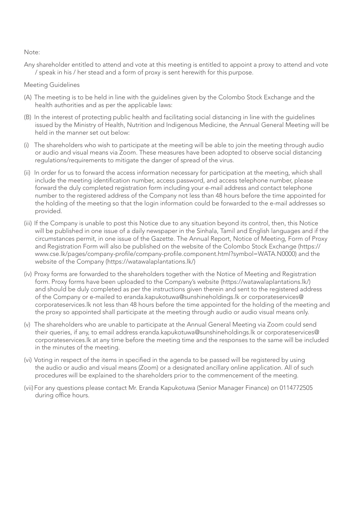#### Note:

Any shareholder entitled to attend and vote at this meeting is entitled to appoint a proxy to attend and vote / speak in his / her stead and a form of proxy is sent herewith for this purpose.

#### Meeting Guidelines

- (A) The meeting is to be held in line with the guidelines given by the Colombo Stock Exchange and the health authorities and as per the applicable laws:
- (B) In the interest of protecting public health and facilitating social distancing in line with the guidelines issued by the Ministry of Health, Nutrition and Indigenous Medicine, the Annual General Meeting will be held in the manner set out below:
- (i) The shareholders who wish to participate at the meeting will be able to join the meeting through audio or audio and visual means via Zoom. These measures have been adopted to observe social distancing regulations/requirements to mitigate the danger of spread of the virus.
- (ii) In order for us to forward the access information necessary for participation at the meeting, which shall include the meeting identification number, access password, and access telephone number, please forward the duly completed registration form including your e-mail address and contact telephone number to the registered address of the Company not less than 48 hours before the time appointed for the holding of the meeting so that the login information could be forwarded to the e-mail addresses so provided.
- (iii) If the Company is unable to post this Notice due to any situation beyond its control, then, this Notice will be published in one issue of a daily newspaper in the Sinhala, Tamil and English languages and if the circumstances permit, in one issue of the Gazette. The Annual Report, Notice of Meeting, Form of Proxy and Registration Form will also be published on the website of the Colombo Stock Exchange (https:// www.cse.lk/pages/company-profile/company-profile.component.html?symbol=WATA.N0000) and the website of the Company (https://watawalaplantations.lk/)
- (iv) Proxy forms are forwarded to the shareholders together with the Notice of Meeting and Registration form. Proxy forms have been uploaded to the Company's website (https://watawalaplantations.lk/) and should be duly completed as per the instructions given therein and sent to the registered address of the Company or e-mailed to eranda.kapukotuwa@sunshineholdings.lk or corporateservices@ corporateservices.lk not less than 48 hours before the time appointed for the holding of the meeting and the proxy so appointed shall participate at the meeting through audio or audio visual means only.
- (v) The shareholders who are unable to participate at the Annual General Meeting via Zoom could send their queries, if any, to email address eranda.kapukotuwa@sunshineholdings.lk or corporateservices@ corporateservices.lk at any time before the meeting time and the responses to the same will be included in the minutes of the meeting.
- (vi) Voting in respect of the items in specified in the agenda to be passed will be registered by using the audio or audio and visual means (Zoom) or a designated ancillary online application. All of such procedures will be explained to the shareholders prior to the commencement of the meeting.
- (vii) For any questions please contact Mr. Eranda Kapukotuwa (Senior Manager Finance) on 0114772505 during office hours.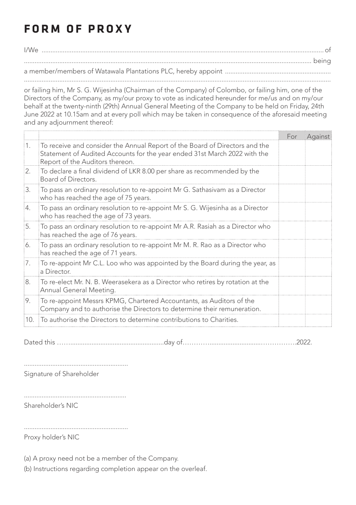# **FORM OF PROXY**

I/We ................................................................................................................................................................ of ................................................................................................................................................................... being a member/members of Watawala Plantations PLC, hereby appoint ............................................................ ..............................................................................................................................................................................

or failing him, Mr S. G. Wijesinha (Chairman of the Company) of Colombo, or failing him, one of the Directors of the Company, as my/our proxy to vote as indicated hereunder for me/us and on my/our behalf at the twenty-ninth (29th) Annual General Meeting of the Company to be held on Friday, 24th June 2022 at 10.15am and at every poll which may be taken in consequence of the aforesaid meeting and any adjournment thereof:

|                  |                                                                                                                                                                                             | For | Against |
|------------------|---------------------------------------------------------------------------------------------------------------------------------------------------------------------------------------------|-----|---------|
| $\overline{1}$ . | To receive and consider the Annual Report of the Board of Directors and the<br>Statement of Audited Accounts for the year ended 31st March 2022 with the<br>Report of the Auditors thereon. |     |         |
| 2.               | To declare a final dividend of LKR 8.00 per share as recommended by the<br>Board of Directors.                                                                                              |     |         |
| 13.              | To pass an ordinary resolution to re-appoint Mr G. Sathasivam as a Director<br>who has reached the age of 75 years.                                                                         |     |         |
| 14.              | To pass an ordinary resolution to re-appoint Mr S. G. Wijesinha as a Director<br>who has reached the age of 73 years.                                                                       |     |         |
| 5.               | To pass an ordinary resolution to re-appoint Mr A.R. Rasiah as a Director who<br>has reached the age of 76 years.                                                                           |     |         |
| 6.               | To pass an ordinary resolution to re-appoint Mr M. R. Rao as a Director who<br>has reached the age of 71 years.                                                                             |     |         |
| 17.              | To re-appoint Mr C.L. Loo who was appointed by the Board during the year, as<br>a Director.                                                                                                 |     |         |
| 8.               | To re-elect Mr. N. B. Weerasekera as a Director who retires by rotation at the<br>Annual General Meeting.                                                                                   |     |         |
| 9.               | To re-appoint Messrs KPMG, Chartered Accountants, as Auditors of the<br>Company and to authorise the Directors to determine their remuneration.                                             |     |         |
| 10.              | To authorise the Directors to determine contributions to Charities.                                                                                                                         |     |         |

Dated this …….....................................................day of………….............................…………….2022.

...........................................................

Signature of Shareholder

Shareholder's NIC

...........................................................

Proxy holder's NIC

(a) A proxy need not be a member of the Company.

(b) Instructions regarding completion appear on the overleaf.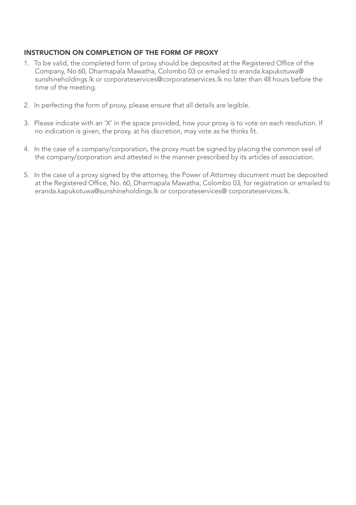## INSTRUCTION ON COMPLETION OF THE FORM OF PROXY

- 1. To be valid, the completed form of proxy should be deposited at the Registered Office of the Company, No 60, Dharmapala Mawatha, Colombo 03 or emailed to eranda.kapukotuwa@ sunshineholdings.lk or corporateservices@corporateservices.lk no later than 48 hours before the time of the meeting.
- 2. In perfecting the form of proxy, please ensure that all details are legible.
- 3. Please indicate with an 'X' in the space provided, how your proxy is to vote on each resolution. If no indication is given, the proxy, at his discretion, may vote as he thinks fit.
- 4. In the case of a company/corporation, the proxy must be signed by placing the common seal of the company/corporation and attested in the manner prescribed by its articles of association.
- 5. In the case of a proxy signed by the attorney, the Power of Attorney document must be deposited at the Registered Office, No. 60, Dharmapala Mawatha, Colombo 03, for registration or emailed to eranda.kapukotuwa@sunshineholdings.lk or corporateservices@ corporateservices.lk.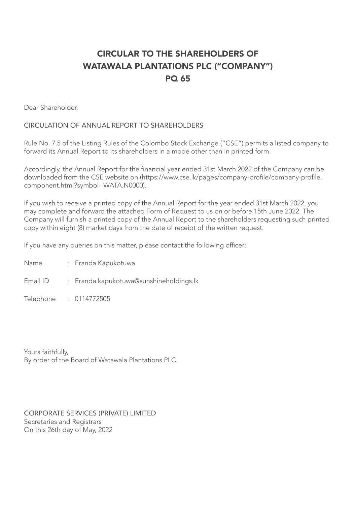# CIRCULAR TO THE SHAREHOLDERS OF WATAWALA PLANTATIONS PLC ("COMPANY") PQ 65

Dear Shareholder,

## CIRCULATION OF ANNUAL REPORT TO SHAREHOLDERS

Rule No. 7.5 of the Listing Rules of the Colombo Stock Exchange ("CSE") permits a listed company to forward its Annual Report to its shareholders in a mode other than in printed form.

Accordingly, the Annual Report for the financial year ended 31st March 2022 of the Company can be downloaded from the CSE website on (https://www.cse.lk/pages/company-profile/company-profile. component.html?symbol=WATA.N0000).

If you wish to receive a printed copy of the Annual Report for the year ended 31st March 2022, you may complete and forward the attached Form of Request to us on or before 15th June 2022. The Company will furnish a printed copy of the Annual Report to the shareholders requesting such printed copy within eight (8) market days from the date of receipt of the written request.

If you have any queries on this matter, please contact the following officer:

- Name : Eranda Kapukotuwa
- Email ID : Eranda.kapukotuwa@sunshineholdings.lk
- Telephone : 0114772505

Yours faithfully, By order of the Board of Watawala Plantations PLC

CORPORATE SERVICES (PRIVATE) LIMITED Secretaries and Registrars On this 26th day of May, 2022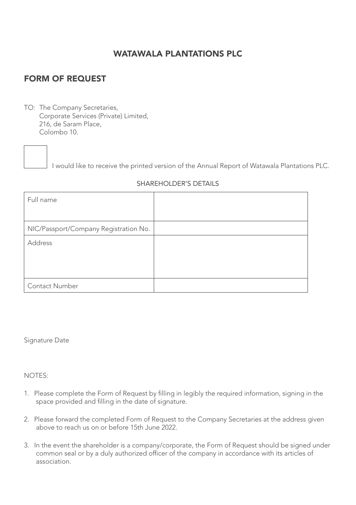# WATAWALA PLANTATIONS PLC

# FORM OF REQUEST

TO: The Company Secretaries, Corporate Services (Private) Limited, 216, de Saram Place, Colombo 10.



I would like to receive the printed version of the Annual Report of Watawala Plantations PLC.

### SHAREHOLDER'S DETAILS

| Full name                             |  |
|---------------------------------------|--|
| NIC/Passport/Company Registration No. |  |
| Address                               |  |
|                                       |  |
|                                       |  |
| Contact Number                        |  |

Signature Date

NOTES:

- 1. Please complete the Form of Request by filling in legibly the required information, signing in the space provided and filling in the date of signature.
- 2. Please forward the completed Form of Request to the Company Secretaries at the address given above to reach us on or before 15th June 2022.
- 3. In the event the shareholder is a company/corporate, the Form of Request should be signed under common seal or by a duly authorized officer of the company in accordance with its articles of association.